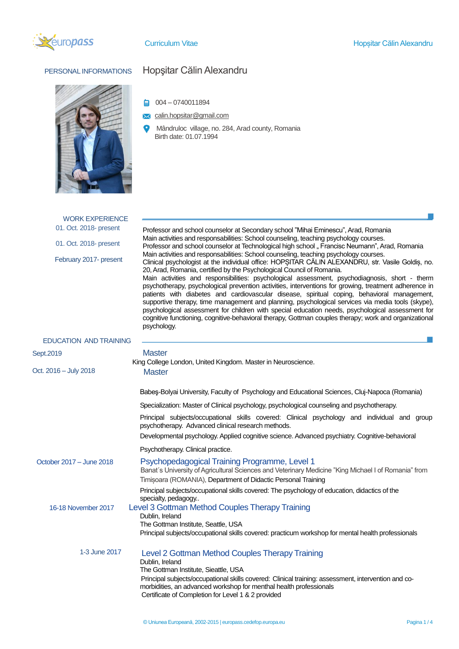



## PERSONAL INFORMATIONS Hopşitar Călin Alexandru

 $\bigcirc$  004 – 0740011894

**X** calin.hopsitar@gmail.com

 $\bullet$ Mândruloc village, no. 284, Arad county, Romania Birth date: 01.07.1994

| <b>WORK EXPERIENCE</b>        |                                                                                                                                                                                                                                                                                                                                                                                                                                                                                                                                                                                                                                                                                                                                                                                                                                                                                                                                                                                                                                                                                                                                                                                                 |  |  |  |  |
|-------------------------------|-------------------------------------------------------------------------------------------------------------------------------------------------------------------------------------------------------------------------------------------------------------------------------------------------------------------------------------------------------------------------------------------------------------------------------------------------------------------------------------------------------------------------------------------------------------------------------------------------------------------------------------------------------------------------------------------------------------------------------------------------------------------------------------------------------------------------------------------------------------------------------------------------------------------------------------------------------------------------------------------------------------------------------------------------------------------------------------------------------------------------------------------------------------------------------------------------|--|--|--|--|
| 01. Oct. 2018- present        | Professor and school counselor at Secondary school "Mihai Eminescu", Arad, Romania<br>Main activities and responsabilities: School counseling, teaching psychology courses.<br>Professor and school counselor at Technological high school " Francisc Neumann", Arad, Romania<br>Main activities and responsabilities: School counseling, teaching psychology courses.<br>Clinical psychologist at the individual office: HOPSITAR CĂLIN ALEXANDRU, str. Vasile Goldis, no.<br>20, Arad, Romania, certified by the Psychological Council of Romania.<br>Main activities and responsibilities: psychological assessment, psychodiagnosis, short - therm<br>psychotherapy, psychological prevention activities, interventions for growing, treatment adherence in<br>patients with diabetes and cardiovascular disease, spiritual coping, behavioral management,<br>supportive therapy, time management and planning, psychological services via media tools (skype),<br>psychological assessment for children with special education needs, psychological assessment for<br>cognitive functioning, cognitive-behavioral therapy, Gottman couples therapy; work and organizational<br>psychology. |  |  |  |  |
| 01. Oct. 2018- present        |                                                                                                                                                                                                                                                                                                                                                                                                                                                                                                                                                                                                                                                                                                                                                                                                                                                                                                                                                                                                                                                                                                                                                                                                 |  |  |  |  |
| February 2017- present        |                                                                                                                                                                                                                                                                                                                                                                                                                                                                                                                                                                                                                                                                                                                                                                                                                                                                                                                                                                                                                                                                                                                                                                                                 |  |  |  |  |
| <b>EDUCATION AND TRAINING</b> |                                                                                                                                                                                                                                                                                                                                                                                                                                                                                                                                                                                                                                                                                                                                                                                                                                                                                                                                                                                                                                                                                                                                                                                                 |  |  |  |  |
| Sept.2019                     | Master                                                                                                                                                                                                                                                                                                                                                                                                                                                                                                                                                                                                                                                                                                                                                                                                                                                                                                                                                                                                                                                                                                                                                                                          |  |  |  |  |
|                               | King College London, United Kingdom. Master in Neuroscience.                                                                                                                                                                                                                                                                                                                                                                                                                                                                                                                                                                                                                                                                                                                                                                                                                                                                                                                                                                                                                                                                                                                                    |  |  |  |  |
| Oct. 2016 – July 2018         | <b>Master</b>                                                                                                                                                                                                                                                                                                                                                                                                                                                                                                                                                                                                                                                                                                                                                                                                                                                                                                                                                                                                                                                                                                                                                                                   |  |  |  |  |
|                               | Babes-Bolyai University, Faculty of Psychology and Educational Sciences, Cluj-Napoca (Romania)                                                                                                                                                                                                                                                                                                                                                                                                                                                                                                                                                                                                                                                                                                                                                                                                                                                                                                                                                                                                                                                                                                  |  |  |  |  |
|                               | Specialization: Master of Clinical psychology, psychological counseling and psychotherapy.                                                                                                                                                                                                                                                                                                                                                                                                                                                                                                                                                                                                                                                                                                                                                                                                                                                                                                                                                                                                                                                                                                      |  |  |  |  |
|                               | Principal subjects/occupational skills covered: Clinical psychology and individual and group<br>psychotherapy. Advanced clinical research methods.                                                                                                                                                                                                                                                                                                                                                                                                                                                                                                                                                                                                                                                                                                                                                                                                                                                                                                                                                                                                                                              |  |  |  |  |
|                               | Developmental psychology. Applied cognitive science. Advanced psychiatry. Cognitive-behavioral                                                                                                                                                                                                                                                                                                                                                                                                                                                                                                                                                                                                                                                                                                                                                                                                                                                                                                                                                                                                                                                                                                  |  |  |  |  |
|                               | Psychotherapy. Clinical practice.                                                                                                                                                                                                                                                                                                                                                                                                                                                                                                                                                                                                                                                                                                                                                                                                                                                                                                                                                                                                                                                                                                                                                               |  |  |  |  |
| October 2017 – June 2018      | Psychopedagogical Training Programme, Level 1<br>Banat's University of Agricultural Sciences and Veterinary Medicine "King Michael I of Romania" from<br>Timișoara (ROMANIA), Department of Didactic Personal Training                                                                                                                                                                                                                                                                                                                                                                                                                                                                                                                                                                                                                                                                                                                                                                                                                                                                                                                                                                          |  |  |  |  |
|                               | Principal subjects/occupational skills covered: The psychology of education, didactics of the                                                                                                                                                                                                                                                                                                                                                                                                                                                                                                                                                                                                                                                                                                                                                                                                                                                                                                                                                                                                                                                                                                   |  |  |  |  |
| 16-18 November 2017           | specialty, pedagogy<br>Level 3 Gottman Method Couples Therapy Training                                                                                                                                                                                                                                                                                                                                                                                                                                                                                                                                                                                                                                                                                                                                                                                                                                                                                                                                                                                                                                                                                                                          |  |  |  |  |
|                               | Dublin, Ireland                                                                                                                                                                                                                                                                                                                                                                                                                                                                                                                                                                                                                                                                                                                                                                                                                                                                                                                                                                                                                                                                                                                                                                                 |  |  |  |  |
|                               | The Gottman Institute, Seattle, USA<br>Principal subjects/occupational skills covered: practicum workshop for mental health professionals                                                                                                                                                                                                                                                                                                                                                                                                                                                                                                                                                                                                                                                                                                                                                                                                                                                                                                                                                                                                                                                       |  |  |  |  |
|                               |                                                                                                                                                                                                                                                                                                                                                                                                                                                                                                                                                                                                                                                                                                                                                                                                                                                                                                                                                                                                                                                                                                                                                                                                 |  |  |  |  |
| 1-3 June 2017                 | Level 2 Gottman Method Couples Therapy Training<br>Dublin, Ireland<br>The Gottman Institute, Sieattle, USA<br>Principal subjects/occupational skills covered: Clinical training: assessment, intervention and co-<br>morbidities, an advanced workshop for menthal health professionals<br>Certificate of Completion for Level 1 & 2 provided                                                                                                                                                                                                                                                                                                                                                                                                                                                                                                                                                                                                                                                                                                                                                                                                                                                   |  |  |  |  |
|                               |                                                                                                                                                                                                                                                                                                                                                                                                                                                                                                                                                                                                                                                                                                                                                                                                                                                                                                                                                                                                                                                                                                                                                                                                 |  |  |  |  |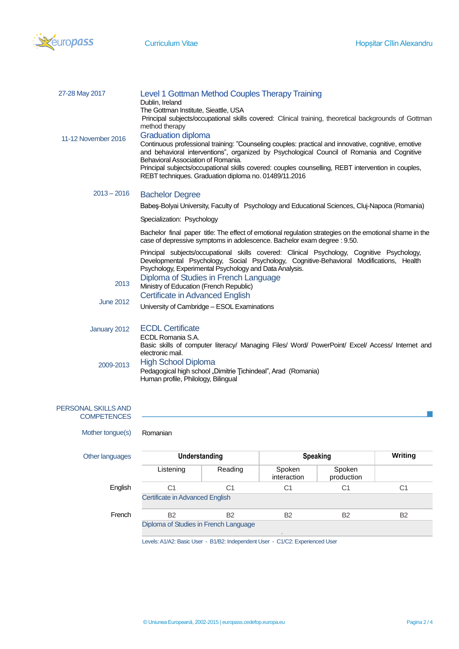

| Level 1 Gottman Method Couples Therapy Training<br>Dublin, Ireland<br>The Gottman Institute, Sieattle, USA<br>Principal subjects/occupational skills covered: Clinical training, theoretical backgrounds of Gottman<br>method therapy                                                                                                                                                                                               |  |
|-------------------------------------------------------------------------------------------------------------------------------------------------------------------------------------------------------------------------------------------------------------------------------------------------------------------------------------------------------------------------------------------------------------------------------------|--|
| <b>Graduation diploma</b><br>Continuous professional training: "Counseling couples: practical and innovative, cognitive, emotive<br>and behavioral interventions", organized by Psychological Council of Romania and Cognitive<br>Behavioral Association of Romania.<br>Principal subjects/occupational skills covered: couples counselling, REBT intervention in couples,<br>REBT techniques. Graduation diploma no. 01489/11.2016 |  |
| <b>Bachelor Degree</b>                                                                                                                                                                                                                                                                                                                                                                                                              |  |
| Babes-Bolyai University, Faculty of Psychology and Educational Sciences, Cluj-Napoca (Romania)                                                                                                                                                                                                                                                                                                                                      |  |
| Specialization: Psychology                                                                                                                                                                                                                                                                                                                                                                                                          |  |
| Bachelor final paper title: The effect of emotional regulation strategies on the emotional shame in the<br>case of depressive symptoms in adolescence. Bachelor exam degree : 9.50.                                                                                                                                                                                                                                                 |  |
| Principal subjects/occupational skills covered: Clinical Psychology, Cognitive Psychology,<br>Developmental Psychology, Social Psychology, Cognitive-Behavioral Modifications, Health<br>Psychology, Experimental Psychology and Data Analysis.                                                                                                                                                                                     |  |
| Diploma of Studies in French Language<br>Ministry of Education (French Republic)                                                                                                                                                                                                                                                                                                                                                    |  |
| <b>Certificate in Advanced English</b>                                                                                                                                                                                                                                                                                                                                                                                              |  |
| University of Cambridge - ESOL Examinations                                                                                                                                                                                                                                                                                                                                                                                         |  |
| <b>ECDL Certificate</b><br>January 2012<br>ECDL Romania S.A.<br>Basic skills of computer literacy/ Managing Files/ Word/ PowerPoint/ Excel/ Access/ Internet and<br>electronic mail.                                                                                                                                                                                                                                                |  |
| <b>High School Diploma</b><br>Pedagogical high school "Dimitrie Tichindeal", Arad (Romania)<br>Human profile, Philology, Bilingual                                                                                                                                                                                                                                                                                                  |  |
|                                                                                                                                                                                                                                                                                                                                                                                                                                     |  |

| PERSONAL SKILLS AND |
|---------------------|
| <b>COMPETENCES</b>  |

| Mother tongue(s) | Romanian                              |           |                       |                      |                |
|------------------|---------------------------------------|-----------|-----------------------|----------------------|----------------|
| Other languages  | Understanding                         |           | <b>Speaking</b>       |                      | <b>Writing</b> |
|                  | Listening                             | Reading   | Spoken<br>interaction | Spoken<br>production |                |
| English          | C1                                    | C1        | C <sub>1</sub>        | C1                   | C1             |
|                  | Certificate in Advanced English       |           |                       |                      |                |
| French           | <b>B2</b>                             | <b>B2</b> | <b>B2</b>             | B <sub>2</sub>       | <b>B2</b>      |
|                  | Diploma of Studies in French Language |           |                       |                      |                |

Levels: A1/A2: Basic User - B1/B2: Independent User - C1/C2: Experienced User

 $\mathcal{L}_{\mathcal{A}}$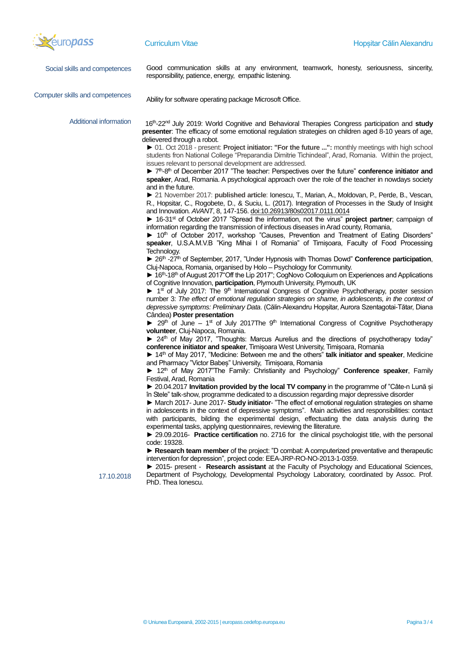

| <b>Szeuropass</b>                    | <b>Curriculum Vitae</b>                                                                                                                                                                                                                                                                                                                                                                                                                                                                                                                                                                                                                                                                                                                                                                                                                                                                                                                                                                                                                                                                                                                                                                                                                                                                                                                                                                                                                                                                                                                                                                                                                                                                                                                                                                                                                                                                                                                                                                                                                                                                                                                                                                                                                                                                                                                                                                                                                                                                                                                                                                                                                                                                                                                                                                                                                                                                                                                                                                                                                                                                                                                                                                                                                                                                                                                                                                                                                                                                                                                                                                                                                                                                                                                                                                                                                                                                                                                          | Hopsitar Călin Alexandru |
|--------------------------------------|--------------------------------------------------------------------------------------------------------------------------------------------------------------------------------------------------------------------------------------------------------------------------------------------------------------------------------------------------------------------------------------------------------------------------------------------------------------------------------------------------------------------------------------------------------------------------------------------------------------------------------------------------------------------------------------------------------------------------------------------------------------------------------------------------------------------------------------------------------------------------------------------------------------------------------------------------------------------------------------------------------------------------------------------------------------------------------------------------------------------------------------------------------------------------------------------------------------------------------------------------------------------------------------------------------------------------------------------------------------------------------------------------------------------------------------------------------------------------------------------------------------------------------------------------------------------------------------------------------------------------------------------------------------------------------------------------------------------------------------------------------------------------------------------------------------------------------------------------------------------------------------------------------------------------------------------------------------------------------------------------------------------------------------------------------------------------------------------------------------------------------------------------------------------------------------------------------------------------------------------------------------------------------------------------------------------------------------------------------------------------------------------------------------------------------------------------------------------------------------------------------------------------------------------------------------------------------------------------------------------------------------------------------------------------------------------------------------------------------------------------------------------------------------------------------------------------------------------------------------------------------------------------------------------------------------------------------------------------------------------------------------------------------------------------------------------------------------------------------------------------------------------------------------------------------------------------------------------------------------------------------------------------------------------------------------------------------------------------------------------------------------------------------------------------------------------------------------------------------------------------------------------------------------------------------------------------------------------------------------------------------------------------------------------------------------------------------------------------------------------------------------------------------------------------------------------------------------------------------------------------------------------------------------------------------------------------|--------------------------|
| Social skills and competences        | Good communication skills at any environment, teamwork, honesty, seriousness, sincerity,<br>responsibility, patience, energy, empathic listening.                                                                                                                                                                                                                                                                                                                                                                                                                                                                                                                                                                                                                                                                                                                                                                                                                                                                                                                                                                                                                                                                                                                                                                                                                                                                                                                                                                                                                                                                                                                                                                                                                                                                                                                                                                                                                                                                                                                                                                                                                                                                                                                                                                                                                                                                                                                                                                                                                                                                                                                                                                                                                                                                                                                                                                                                                                                                                                                                                                                                                                                                                                                                                                                                                                                                                                                                                                                                                                                                                                                                                                                                                                                                                                                                                                                                |                          |
| Computer skills and competences      | Ability for software operating package Microsoft Office.                                                                                                                                                                                                                                                                                                                                                                                                                                                                                                                                                                                                                                                                                                                                                                                                                                                                                                                                                                                                                                                                                                                                                                                                                                                                                                                                                                                                                                                                                                                                                                                                                                                                                                                                                                                                                                                                                                                                                                                                                                                                                                                                                                                                                                                                                                                                                                                                                                                                                                                                                                                                                                                                                                                                                                                                                                                                                                                                                                                                                                                                                                                                                                                                                                                                                                                                                                                                                                                                                                                                                                                                                                                                                                                                                                                                                                                                                         |                          |
| Additional information<br>17.10.2018 | 16th-22 <sup>nd</sup> July 2019: World Cognitive and Behavioral Therapies Congress participation and study<br>presenter: The efficacy of some emotional regulation strategies on children aged 8-10 years of age,<br>delievered through a robot.<br>▶ 01. Oct 2018 - present: Project initiator: "For the future ": monthly meetings with high school<br>students fron National College "Preparandia Dimitrie Tichindeal", Arad, Romania. Within the project,<br>issues relevant to personal development are addressed.<br>▶ 7 <sup>th</sup> -8 <sup>th</sup> of December 2017 "The teacher: Perspectives over the future" conference initiator and<br>speaker, Arad, Romania. A psychological approach over the role of the teacher in nowdays society<br>and in the future.<br>▶ 21 November 2017: published article: Ionescu, T., Marian, A., Moldovan, P., Perde, B., Vescan,<br>R., Hopsitar, C., Rogobete, D., & Suciu, L. (2017). Integration of Processes in the Study of Insight<br>and Innovation. AVANT, 8, 147-156. doi:10.26913/80s02017.0111.0014<br>▶ 16-31 <sup>st</sup> of October 2017 "Spread the information, not the virus" project partner; campaign of<br>information regarding the transmission of infectious diseases in Arad county, Romania,<br>▶ 10 <sup>th</sup> of October 2017, workshop "Causes, Prevention and Treatment of Eating Disorders"<br>speaker, U.S.A.M.V.B "King Mihai I of Romania" of Timișoara, Faculty of Food Processing<br>Technology.<br>▶ 26 <sup>th</sup> -27 <sup>th</sup> of September, 2017, "Under Hypnosis with Thomas Dowd" Conference participation,<br>Cluj-Napoca, Romania, organised by Holo - Psychology for Community.<br>▶ 16th-18th of August 2017"Off the Lip 2017"; CogNovo Colloquium on Experiences and Applications<br>of Cognitive Innovation, participation, Plymouth University, Plymouth, UK<br>▶ 1st of July 2017: The 9 <sup>th</sup> International Congress of Cognitive Psychotherapy, poster session<br>number 3: The effect of emotional regulation strategies on shame, in adolescents, in the context of<br>depressive symptoms: Preliminary Data. (Călin-Alexandru Hopșitar, Aurora Szentagotai-Tătar, Diana<br>Cândea) Poster presentation<br>▶ 29th of June - 1st of July 2017The 9th International Congress of Cognitive Psychotherapy<br>volunteer, Cluj-Napoca, Romania.<br>▶ 24th of May 2017, "Thoughts: Marcus Aurelius and the directions of psychotherapy today"<br>conference initiator and speaker, Timișoara West University, Timișoara, Romania<br>14th of May 2017, "Medicine: Between me and the others" talk initiator and speaker, Medicine<br>and Pharmacy "Victor Babes" University, Timisoara, Romania<br>12th of May 2017"The Family: Christianity and Psychology" Conference speaker, Family<br>Festival, Arad, Romania<br>▶ 20.04.2017 Invitation provided by the local TV company in the programme of "Câte-n Lună și<br>în Stele" talk-show, programme dedicated to a discussion regarding major depressive disorder<br>► March 2017- June 2017- Study initiator- "The effect of emotional regulation strategies on shame<br>in adolescents in the context of depressive symptoms". Main activities and responsibilities: contact<br>with participants, bilding the experimental design, effectuating the data analysis during the<br>experimental tasks, applying questionnaires, reviewing the lliterature.<br>▶ 29.09.2016- Practice certification no. 2716 for the clinical psychologist title, with the personal<br>code: 19328.<br>Research team member of the project: "D combat: A computerized preventative and therapeutic<br>intervention for depression", project code: EEA-JRP-RO-NO-2013-1-0359.<br>▶ 2015- present - Research assistant at the Faculty of Psychology and Educational Sciences,<br>Department of Psychology, Developmental Psychology Laboratory, coordinated by Assoc. Prof.<br>PhD. Thea lonescu. |                          |